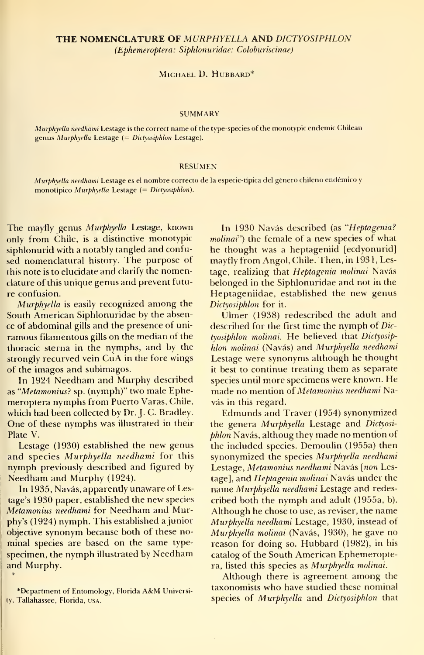### MICHAEL D. HUBBARD\*

#### **SUMMARY**

Murphyella needhami Lestage is the correct name of the type-species of the monotypic endemic Chilean genus Murphyella Lestage (= Dictyosiphlon Lestage).

#### RESUMEN

Murphyella needhami Lestage es el nombre correcto de la especie-típica del género chileno endémico y monotípico Murphyella Lestage (= Dictyosiphlon).

The mayfly genus Murphyella Lestage, known only from Chile, is a distinctive monotypic siphlonurid with a notably tangled and confused nomenclatural history. The purpose of this note is to elucídate and clarify the nomenclature of this unique genus and prevent futu re confusión.

Murphyella is easily recognized among the South American Siphlonuridae by the absence of abdominal gills and the presence of uni ramous filamentous gills on the median of the thoracic sterna in the nymphs, and by the strongly recurved vein CuA in the fore wings of the imagos and subimagos.

In 1924 Needham and Murphy described as "Metamonius? sp. (nymph)" two male Ephemeroptera nymphs from Puerto Varas, Chile, which had been collected by Dr. J. C. Bradley. One of these nymphs was illustrated in their Plate V.

Lestage (1930) established the new genus and species Murphyella needhami for this nymph previously described and figured by Needham and Murphy (1924).

In 1935, Navás, apparently unaware of Lestage's 1930 paper, established the new species Metamonius needhami for Needham and Murphy's (1924) nymph. This established a júnior objective synonym because both of these no minal species are based on the same typespecimen, the nymph illustrated by Needham and Murphy.

\*Department of Entomology, Florida A&M University, Tallahassee, Florida, usa.

In 1930 Navás described (as "Heptagenia? molinai") the female of a new species of what he thought was a heptageniid [ecdyonurid] mayfly from Angol, Chile. Then,in 1931, Lestage, realizing that Heptagenia molinai Navás belonged in the Siphlonuridae and not in the Heptageniidae, established the new genus Dictyosiphlon for it.

Ulmer (1938) redescribed the adult and described for the first time the nymph of  $Dic$ tyosiphlon molinai. He believed that Dictyosiphlon molinai (Navás) and Murphyella needhami Lestage were synonyms although he thought it best to continue treating them as separate species until more specimens were known. He made no mention oí Metamonius needhami Navás in this regard.

Edmunds and Traver (1954) synonymized the genera Murphyella Lestage and Dictyosiphlon Navás, althoug they made no mention of the included species. Demoulin (1955a) then synonymized the species Murphyella needhami Lestage, Metamonius needhami Navás [non Lestage], and Heptagenia molinai Navás under the name Murphyella needhami Lestage and redescribed both the nymph and adult (1955a, b). Although he chose to use, as reviser, the name Murphyella needhami Lestage, 1930, instead of Murphyella molinai (Navás, 1930), he gave no reason for doing so. Hubbard (1982), in his catalog of the South American Ephemeroptera, listed this species as Murphyella molinai.

Although there is agreement among the taxonomists who have studied these nominal species of Murphyella and Dictyosiphlon that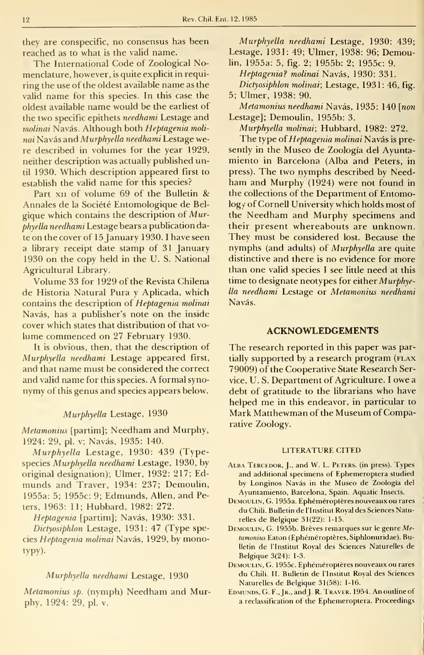they are conspecific, no consensus has been reached as to what is the valid name.

The International Code of Zoological Nomenclature, however, is quite explicit in requiring the use of the oldest available name as the valid ñame for this species. In this case the oldest available ñame would be the earliest of the two specific epithets *needhami* Lestage and molinai Navás. Although both Heptagenia molinai Navás and Murphyella needhami Lestage were described in volumes for the year 1929, neither description was actually published until 1930. Which description appeared first to establish the valid name for this species?

Part XII of volume 69 of the Bulletin & Annales de la Société Entomologique de Belgique which contains the description of Murphyella needhami Lestage bears a publication date on the cover of 15 January 1930. I have seen a library receipt date stamp of 31 January 1930 on the copy held in the U. S. National Agricultural Library.

Volume 33 for 1929 of the Revista Chilena de Historia Natural Pura y Aplicada, which contains the description of Heptagenia molinai Navás, has a publisher's note on the inside cover which states that distribution of that vo lume commenced on 27 February 1930.

It is obvious, then, that the description of Murphyella needhami Lestage appeared first, and that name must be considered the correct and valid ñame for this species. A formal synonymy of this genus and species appears below.

# Murphyella Lestage, 1930

Metamonius [partim]; Needham and Murphy, 1924: 29, pl. v; Navás, 1935: 140.

Murphyella Lestage, 1930: 439 (Typespecies Murphyella needhami Lestage, 1930, by original designation); Ulmer, 1932: 217; Edmunds and Traver, 1934: 237; Demoulin, 1955a: 5; 1955c: 9; Edmunds, Alien, and Peters, 1963: 11; Hubbard, 1982: 272.

Heptagenia [partim]; Navás, 1930: 331.

Dictyosiphlon Lestage, 1931: 47 (Type species Heptagenia molinai Navás, 1929, by monotypy)-

# Murphyella needhami Lestage, 1930

Metamonius sp. (nymph) Needham and Murphy, 1924: 29, pl. v.

Murphyella needhami Lestage, 1930: 439; Lestage, 1931: 49; Ulmer, 1938: 96; Demoulin, 1955a: 5, fig. 2; 1955b: 2; 1955c: 9.

Heptagenia? molinai Navás, 1930: 331. Dictyosiphlon molinai; Lestage, 1931: 46, fig. 5; Ulmer, 1938: 90.

Metamonius needhami Navás, 1935: 140 [non Lestage]; Demoulin, 1955b: 3.

Murphyella molinai; Hubbard, 1982: 272.

The type of Heptagenia molinai Navás is presently in the Museo de Zoología del Ayuntamiento in Barcelona (Alba and Peters, in press). The two nymphs described by Needham and Murphy (1924) were not found in the collections of the Department of Entomology of Cornell University which holds most of the Needham and Murphy specimens and their present whereabouts are unknown. They must be considered lost. Because the nymphs (and adults) of Murphyella are quite distinctive and there is no evidence for more than one valid species <sup>I</sup> see little need at this time to desígnate neotypes for either Murphyella needhami Lestage or Metamonius needhami Navás.

### ACKNOWLEDGEMENTS

The research reported in this paper was partially supported by a research program (FLAX 79009) of the Cooperative State Research Service, U. S. Department of Agriculture. <sup>I</sup> owe <sup>a</sup> debt of gratitude to the librarians who have helped me in this endeavor, in particular to Mark Matthewman of the Museum of Comparative Zoology.

#### LITERATURE CITED

- ALBA TERCEDOR, J., and W. L. PETERS. (in press). Types and additional specimens of Ephemeroptera studied by Longinos Navás in the Museo de Zoología del Ayuntamiento, Barcelona, Spain. Aquatic Insects.
- Demoulin, G. 1955a. Ephéméroptéres nouveauxou rares du Chili. Bulletin de l'Institut Royal des Sciences Naturelles de Belgique 31(22): 1-15.
- DEMOULIN, G. 1955b. Brèves remarques sur le genre Metamonius Eaton (Ephéméroptères, Siphlonuridae). Bulletin de l'Institut Royal des Sciences Naturelles de Belgique 3(24): 1-3.
- Demoulin, G. 1955c. Ephéméroptéres nouveaux ou rares du Chili. II. Bulletin de l'Institut Royal des Sciences Naturelles de Belgique 31(58): 1-16.
- EDMUNDS, G. F., JR., and J. R. TRAVER. 1954. An outline of a reclassification of the Ephemeroptera. Proceedings